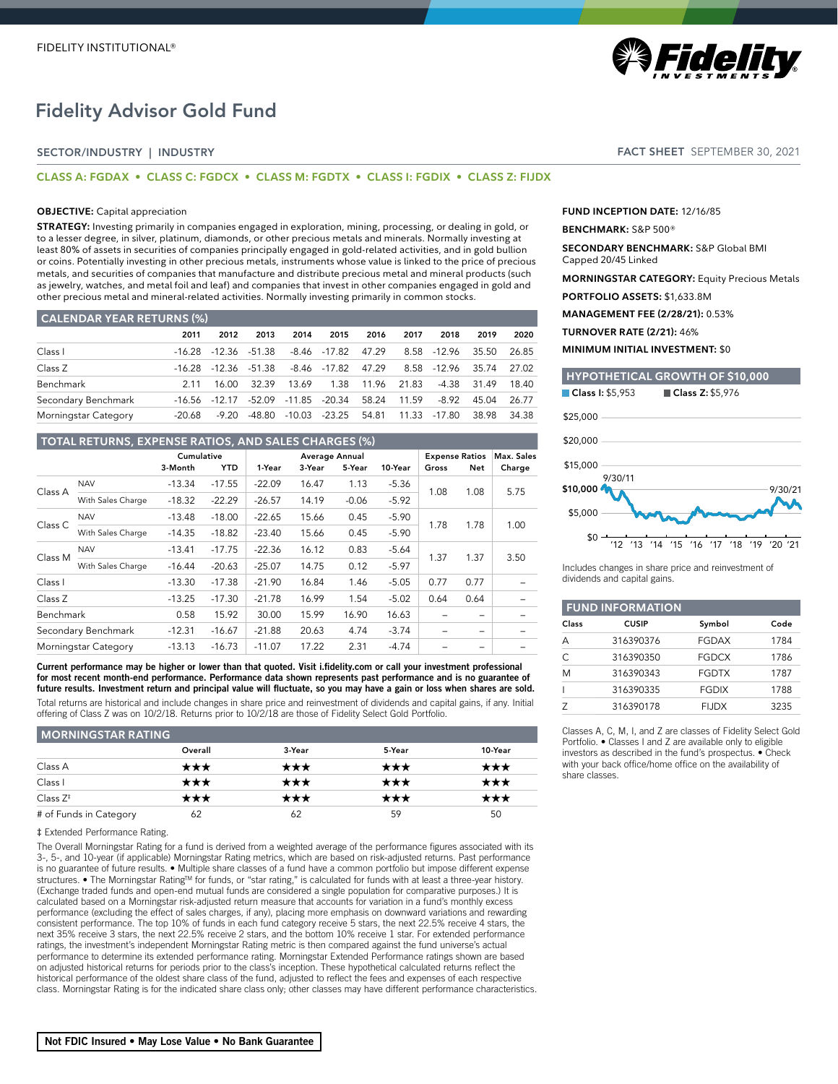# Fidelity Advisor Gold Fund

## SECTOR/INDUSTRY | INDUSTRY

### **CLASS A: FGDAX • CLASS C: FGDCX • CLASS M: FGDTX • CLASS I: FGDIX • CLASS Z: FIJDX**

### **OBJECTIVE:** Capital appreciation

**STRATEGY:** Investing primarily in companies engaged in exploration, mining, processing, or dealing in gold, or to a lesser degree, in silver, platinum, diamonds, or other precious metals and minerals. Normally investing at least 80% of assets in securities of companies principally engaged in gold-related activities, and in gold bullion or coins. Potentially investing in other precious metals, instruments whose value is linked to the price of precious metals, and securities of companies that manufacture and distribute precious metal and mineral products (such as jewelry, watches, and metal foil and leaf) and companies that invest in other companies engaged in gold and other precious metal and mineral-related activities. Normally investing primarily in common stocks.

### **CALENDAR YEAR RETURNS (%)**

|                      | 2011   | 2012    | 2013          | 2014  | 2015                                          | 2016       | 2017  | 2018                    | 2019              | 2020  |
|----------------------|--------|---------|---------------|-------|-----------------------------------------------|------------|-------|-------------------------|-------------------|-------|
| Class I              | -16.28 |         | -12.36 -51.38 |       | -8.46 -17.82 47.29                            |            |       | 8.58 - 12.96            | 35.50 26.85       |       |
| Class Z              | -16.28 |         | -12.36 -51.38 |       | $-8.46$ $-17.82$ $47.29$                      |            |       | 8.58 -12.96 35.74 27.02 |                   |       |
| Benchmark            | 2 1 1  | 16.OO - | 32.39         | 13.69 |                                               | 1.38 11.96 | 21.83 |                         | -4.38 31.49 18.40 |       |
| Secondary Benchmark  |        |         |               |       | -16.56 -12.17 -52.09 -11.85 -20.34 58.24      |            | 11.59 | $-8.92$                 | 45.04             | 26.77 |
| Morningstar Category | -20.68 | -9.20   |               |       | -48.80 -10.03 -23.25 54.81 11.33 -17.80 38.98 |            |       |                         |                   | 34.38 |

## **TOTAL RETURNS, EXPENSE RATIOS, AND SALES CHARGES (%)**

|                    |                      | Cumulative |            | Average Annual |        | <b>Expense Ratios</b> |         | Max. Sales |                          |        |
|--------------------|----------------------|------------|------------|----------------|--------|-----------------------|---------|------------|--------------------------|--------|
|                    |                      | 3-Month    | <b>YTD</b> | 1-Year         | 3-Year | 5-Year                | 10-Year | Gross      | Net                      | Charge |
|                    | <b>NAV</b>           | $-13.34$   | $-17.55$   | $-22.09$       | 16.47  | 1.13                  | $-5.36$ |            | 1.08                     |        |
| Class A            | With Sales Charge    | $-18.32$   | $-22.29$   | $-26.57$       | 14.19  | $-0.06$               | $-5.92$ | 1.08       |                          | 5.75   |
|                    | <b>NAV</b>           | $-13.48$   | $-18.00$   | $-22.65$       | 15.66  | 0.45                  | $-5.90$ | 1.78       | 1.78                     | 1.00   |
| Class <sub>C</sub> | With Sales Charge    | $-14.35$   | $-18.82$   | $-23.40$       | 15.66  | 0.45                  | $-5.90$ |            |                          |        |
| Class M            | <b>NAV</b>           | $-13.41$   | $-17.75$   | $-22.36$       | 16.12  | 0.83                  | $-5.64$ | 1.37       | 1.37                     | 3.50   |
|                    | With Sales Charge    | $-16.44$   | $-20.63$   | $-25.07$       | 14.75  | 0.12                  | $-5.97$ |            |                          |        |
| Class I            |                      | $-13.30$   | $-17.38$   | $-21.90$       | 16.84  | 1.46                  | $-5.05$ | 0.77       | 0.77                     |        |
| Class Z            |                      | $-13.25$   | $-17.30$   | $-21.78$       | 16.99  | 1.54                  | $-5.02$ | 0.64       | 0.64                     |        |
| Benchmark          |                      | 0.58       | 15.92      | 30.00          | 15.99  | 16.90                 | 16.63   |            |                          |        |
|                    | Secondary Benchmark  | $-12.31$   | $-16.67$   | $-21.88$       | 20.63  | 4.74                  | $-3.74$ |            | $\overline{\phantom{m}}$ |        |
|                    | Morningstar Category | $-13.13$   | $-16.73$   | $-11.07$       | 17.22  | 2.31                  | $-4.74$ |            |                          |        |

Current performance may be higher or lower than that quoted. Visit i.fidelity.com or call your investment professional for most recent month-end performance. Performance data shown represents past performance and is no guarantee of future results. Investment return and principal value will fluctuate, so you may have a gain or loss when shares are sold.

Total returns are historical and include changes in share price and reinvestment of dividends and capital gains, if any. Initial offering of Class Z was on 10/2/18. Returns prior to 10/2/18 are those of Fidelity Select Gold Portfolio.

| <b>MORNINGSTAR RATING</b> |         |        |        |         |
|---------------------------|---------|--------|--------|---------|
|                           | Overall | 3-Year | 5-Year | 10-Year |
| Class A                   | ★★★     | ★★★    | ★★★    | ★★★     |
| Class I                   | ***     | ★★★    | ***    | ★★★     |
| Class $Z^*$               | ★★★     | ★★★    | ★★★    | ★★★     |
| # of Funds in Category    | 62      | 62     | 59     | 50      |

### ‡ Extended Performance Rating.

The Overall Morningstar Rating for a fund is derived from a weighted average of the performance figures associated with its 3-, 5-, and 10-year (if applicable) Morningstar Rating metrics, which are based on risk-adjusted returns. Past performance is no guarantee of future results. ● Multiple share classes of a fund have a common portfolio but impose different expense<br>structures. ● The Morningstar Rating™ for funds, or "star rating," is calculated for funds with at (Exchange traded funds and open-end mutual funds are considered a single population for comparative purposes.) It is calculated based on a Morningstar risk-adjusted return measure that accounts for variation in a fund's monthly excess performance (excluding the effect of sales charges, if any), placing more emphasis on downward variations and rewarding consistent performance. The top 10% of funds in each fund category receive 5 stars, the next 22.5% receive 4 stars, the next 35% receive 3 stars, the next 22.5% receive 2 stars, and the bottom 10% receive 1 star. For extended performance ratings, the investment's independent Morningstar Rating metric is then compared against the fund universe's actual performance to determine its extended performance rating. Morningstar Extended Performance ratings shown are based on adjusted historical returns for periods prior to the class's inception. These hypothetical calculated returns reflect the historical performance of the oldest share class of the fund, adjusted to reflect the fees and expenses of each respective class. Morningstar Rating is for the indicated share class only; other classes may have different performance characteristics.



## FACT SHEET SEPTEMBER 30, 2021

**FUND INCEPTION DATE:** 12/16/85

### **BENCHMARK:** S&P 500®

**SECONDARY BENCHMARK:** S&P Global BMI Capped 20/45 Linked

**MORNINGSTAR CATEGORY:** Equity Precious Metals

**PORTFOLIO ASSETS:** \$1,633.8M

**MANAGEMENT FEE (2/28/21):** 0.53%

**TURNOVER RATE (2/21):** 46%

**MINIMUM INITIAL INVESTMENT:** \$0



Includes changes in share price and reinvestment of dividends and capital gains.

| <b>FUND INFORMATION</b> |              |              |      |  |  |  |
|-------------------------|--------------|--------------|------|--|--|--|
| Class                   | <b>CUSIP</b> | Symbol       | Code |  |  |  |
| А                       | 316390376    | FGDAX        | 1784 |  |  |  |
| C                       | 316390350    | <b>FGDCX</b> | 1786 |  |  |  |
| M                       | 316390343    | <b>FGDTX</b> | 1787 |  |  |  |
|                         | 316390335    | <b>FGDIX</b> | 1788 |  |  |  |
|                         | 316390178    | <b>FIJDX</b> | 3235 |  |  |  |

Classes A, C, M, I, and Z are classes of Fidelity Select Gold Portfolio. • Classes I and Z are available only to eligible investors as described in the fund's prospectus. • Check with your back office/home office on the availability of share classes.